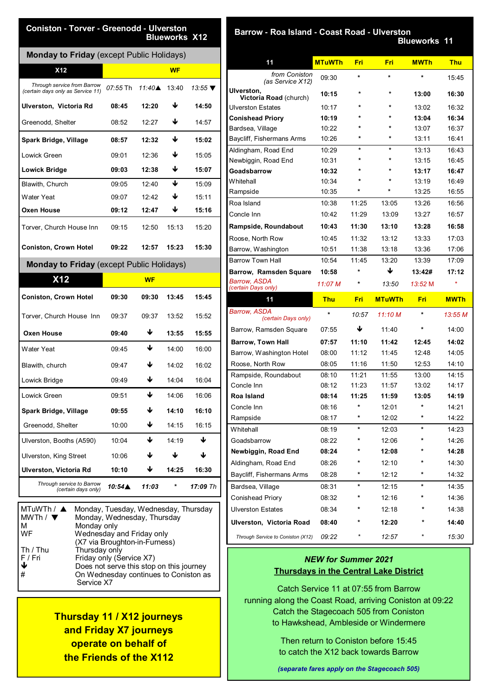| <b>Monday to Friday</b> (except Public Holidays)                 |                 |                   |           |                            |
|------------------------------------------------------------------|-----------------|-------------------|-----------|----------------------------|
| X <sub>12</sub>                                                  |                 |                   | <b>WF</b> |                            |
| Through service from Barrow<br>(certain days only as Service 11) | <i>07:55</i> Th | 11:40 $\triangle$ | 13:40     | 13:55 $\blacktriangledown$ |
| Ulverston, Victoria Rd                                           | 08:45           | 12:20             | ↓         | 14:50                      |
| Greenodd, Shelter                                                | 08:52           | 12:27             | ₩         | 14:57                      |
| Spark Bridge, Village                                            | 08:57           | 12:32             | ₩         | 15:02                      |
| Lowick Green                                                     | 09:01           | 12:36             | ₩         | 15:05                      |
| <b>Lowick Bridge</b>                                             | 09:03           | 12:38             | ₩         | 15:07                      |
| Blawith, Church                                                  | 09:05           | 12:40             | ↓         | 15:09                      |
| Water Yeat                                                       | 09:07           | 12:42             | ₩         | 15:11                      |
| Oxen House                                                       | 09:12           | 12:47             | ₩         | 15:16                      |
| Torver, Church House Inn                                         | 09:15           | 12:50             | 15:13     | 15:20                      |
| <b>Coniston, Crown Hotel</b>                                     | 09:22           | 12:57             | 15:23     | 15:30                      |
| Monday to Friday (except Public Holidays)                        |                 |                   |           |                            |
| <b>X12</b>                                                       |                 | <b>WF</b>         |           |                            |
| <b>Coniston, Crown Hotel</b>                                     | 09:30           | 09:30             | 13:45     | 15:45                      |
| Torver, Church House Inn                                         | 09:37           | 09:37             | 13:52     | 15:52                      |
| <b>Oxen House</b>                                                | 09:40           | ₩                 | 13:55     | 15:55                      |
| <b>Water Yeat</b>                                                | 09:45           | ₩                 | 14:00     | 16:00                      |
| Blawith, church                                                  | 09:47           | ↓                 | 14:02     | 16:02                      |
| Lowick Bridge                                                    | 09:49           | ↓                 | 14:04     | 16:04                      |
| Lowick Green                                                     | 09:51           | ↓                 | 14:06     | 16:06                      |
| Spark Bridge, Village                                            | 09:55           | ↓                 | 14:10     | 16:10                      |
| Greenodd, Shelter                                                | 10:00           | ↓                 | 14:15     | 16:15                      |
| Ulverston, Booths (A590)                                         | 10:04           | ↓                 | 14:19     | ↓                          |
| <b>Ulverston, King Street</b>                                    | 10:06           | ↓                 | ↓         | ↓                          |
| Ulverston, Victoria Rd                                           | 10:10           | ↓                 | 14:25     | 16:30                      |
| Through service to Barrow                                        | 10:54▲          | 11:03             |           | 17:09 Th                   |

| Does not serve this stop on this journey |
|------------------------------------------|
| On Wednesday continues to Coniston as    |
|                                          |

**Thursday 11 / X12 journeys and Friday X7 journeys operate on behalf of the Friends of the X112**

 **Barrow - Roa Island - Coast Road - Ulverston** 

 **Blueworks 11** 

| 11                                          | <b>MTuWTh</b> | Fri     | Fri           | <b>MWTh</b> | <b>Thu</b>  |
|---------------------------------------------|---------------|---------|---------------|-------------|-------------|
| from Coniston<br>(as Service X12)           | 09:30         | $\star$ | $\star$       | $\star$     | 15:45       |
| Ulverston,<br><b>Victoria Road (church)</b> | 10:15         | $\star$ | $\star$       | 13:00       | 16:30       |
| <b>Ulverston Estates</b>                    | 10:17         | ÷       | ÷             | 13:02       | 16:32       |
| <b>Conishead Priory</b>                     | 10:19         | ÷       | ÷             | 13:04       | 16:34       |
| Bardsea, Village                            | 10:22         | ÷       | ÷             | 13:07       | 16:37       |
| Baycliff, Fishermans Arms                   | 10:26         | ÷       | $\star$       | 13:11       | 16:41       |
| Aldingham, Road End                         | 10:29         |         |               | 13:13       | 16:43       |
| Newbiggin, Road End                         | 10:31         | ÷       | ÷             | 13:15       | 16:45       |
| Goadsbarrow                                 | 10:32         |         | ÷             | 13:17       | 16:47       |
| Whitehall                                   | 10:34         |         | ÷             | 13:19       | 16:49       |
| Rampside                                    | 10:35         | $\star$ | ÷             | 13:25       | 16:55       |
| Roa Island                                  | 10:38         | 11:25   | 13:05         | 13:26       | 16:56       |
| Concle Inn                                  | 10:42         | 11:29   | 13:09         | 13:27       | 16:57       |
| Rampside, Roundabout                        | 10:43         | 11:30   | 13:10         | 13:28       | 16:58       |
| Roose, North Row                            | 10:45         | 11:32   | 13:12         | 13:33       | 17:03       |
| Barrow, Washington                          | 10:51         | 11:38   | 13:18         | 13:36       | 17:06       |
| Barrow Town Hall                            | 10:54         | 11:45   | 13:20         | 13:39       | 17:09       |
| <b>Barrow, Ramsden Square</b>               | 10:58         | $\star$ | ↓             | 13:42#      | 17:12       |
| <b>Barrow, ASDA</b><br>(certain Days only)  | 11:07 M       | *       | 13:50         | 13:52 M     | $\star$     |
|                                             |               |         |               |             |             |
| 11                                          | <b>Thu</b>    | Fri     | <b>MTuWTh</b> | Fri         | <b>MWTh</b> |
| <b>Barrow, ASDA</b><br>(certain Days only)  | $\star$       | 10:57   | 11:10 M       | *           | 13:55 M     |
| Barrow, Ramsden Square                      | 07:55         | ↓       | 11:40         | *           | 14:00       |
| <b>Barrow, Town Hall</b>                    | 07:57         | 11:10   | 11:42         | 12:45       | 14:02       |
| Barrow, Washington Hotel                    | 08:00         | 11:12   | 11:45         | 12:48       | 14:05       |
| Roose, North Row                            | 08:05         | 11:16   | 11:50         | 12:53       | 14:10       |
| Rampside, Roundabout                        | 08:10         | 11:21   | 11:55         | 13:00       | 14:15       |
| Concle Inn                                  | 08:12         | 11:23   | 11:57         | 13:02       | 14:17       |
| Roa Island                                  | 08:14         | 11:25   | 11:59         | 13:05       | 14:19       |
| Concle Inn                                  | 08:16         | $\star$ | 12:01         | $\star$     | 14:21       |
| Rampside                                    | 08:17         |         | 12:02         |             | 14:22       |
| Whitehall                                   | 08:19         | *       | 12:03         | ×           | 14:23       |
| Goadsbarrow                                 | 08:22         |         | 12:06         |             | 14:26       |
| Newbiggin, Road End                         | 08:24         |         | 12:08         |             | 14:28       |
| Aldingham, Road End                         | 08:26         |         | 12:10         |             | 14:30       |
| Baycliff, Fishermans Arms                   | 08:28         |         | 12:12         |             | 14:32       |
| Bardsea, Village                            | 08:31         | *       | 12:15         | $\star$     | 14:35       |
| Conishead Priory                            | 08:32         |         | 12:16         |             | 14:36       |
| <b>Ulverston Estates</b>                    | 08:34         |         | 12:18         |             | 14:38       |
| Ulverston, Victoria Road                    | 08:40         |         | 12:20         |             | 14:40       |

#### *NEW for Summer 2021* **Thursdays in the Central Lake District**

Catch Service 11 at 07:55 from Barrow running along the Coast Road, arriving Coniston at 09:22 Catch the Stagecoach 505 from Coniston to Hawkshead, Ambleside or Windermere

> Then return to Coniston before 15:45 to catch the X12 back towards Barrow

*(separate fares apply on the Stagecoach 505)*